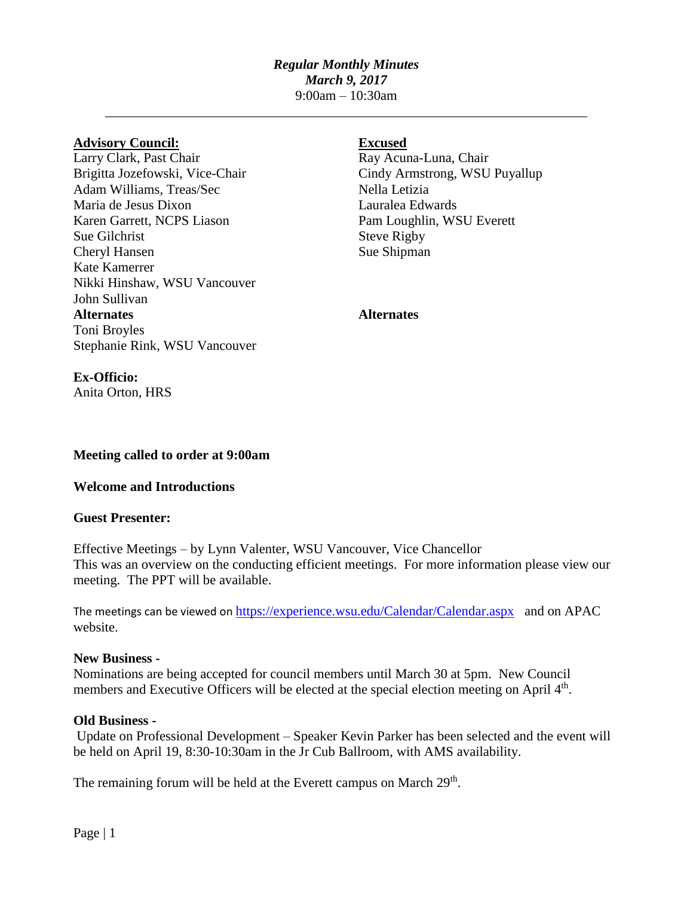# *Regular Monthly Minutes March 9, 2017* 9:00am – 10:30am

\_\_\_\_\_\_\_\_\_\_\_\_\_\_\_\_\_\_\_\_\_\_\_\_\_\_\_\_\_\_\_\_\_\_\_\_\_\_\_\_\_\_\_\_\_\_\_\_\_\_\_\_\_\_\_\_\_\_\_\_\_\_\_\_\_\_\_\_\_\_\_

### **Advisory Council: Excused**

Larry Clark, Past Chair Ray Acuna-Luna, Chair Brigitta Jozefowski, Vice-Chair Cindy Armstrong, WSU Puyallup Adam Williams, Treas/Sec Nella Letizia Maria de Jesus Dixon Lauralea Edwards Karen Garrett, NCPS Liason Pam Loughlin, WSU Everett Sue Gilchrist Steve Rigby Cheryl Hansen Sue Shipman Kate Kamerrer Nikki Hinshaw, WSU Vancouver John Sullivan **Alternates Alternates** Toni Broyles Stephanie Rink, WSU Vancouver

**Meeting called to order at 9:00am**

## **Welcome and Introductions**

### **Guest Presenter:**

**Ex-Officio:**

Anita Orton, HRS

Effective Meetings – by Lynn Valenter, WSU Vancouver, Vice Chancellor This was an overview on the conducting efficient meetings. For more information please view our meeting. The PPT will be available.

The meetings can be viewed on <https://experience.wsu.edu/Calendar/Calendar.aspx>and on APAC website.

### **New Business -**

Nominations are being accepted for council members until March 30 at 5pm. New Council members and Executive Officers will be elected at the special election meeting on April 4<sup>th</sup>.

### **Old Business -**

Update on Professional Development – Speaker Kevin Parker has been selected and the event will be held on April 19, 8:30-10:30am in the Jr Cub Ballroom, with AMS availability.

The remaining forum will be held at the Everett campus on March 29<sup>th</sup>.